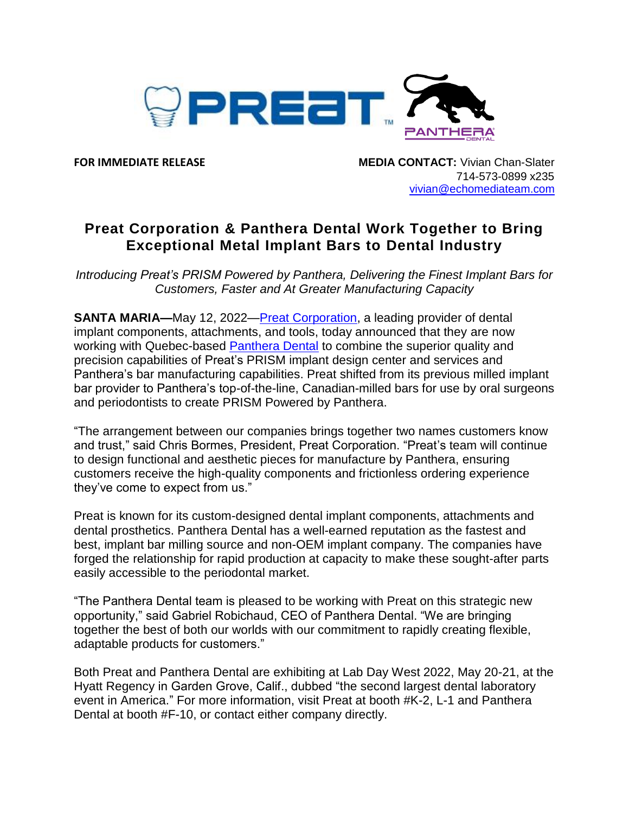

**FOR IMMEDIATE RELEASE MEDIA CONTACT:** Vivian Chan-Slater 714-573-0899 x235 [vivian@echomediateam.com](mailto:vivian@echomediateam.com)

## **Preat Corporation & Panthera Dental Work Together to Bring Exceptional Metal Implant Bars to Dental Industry**

*Introducing Preat's PRISM Powered by Panthera, Delivering the Finest Implant Bars for Customers, Faster and At Greater Manufacturing Capacity*

**SANTA MARIA—**May 12, 2022—Preat [Corporation,](https://preat.com/) a leading provider of dental implant components, attachments, and tools, today announced that they are now working with Quebec-based [Panthera Dental](http://www.pantheradental.com/) to combine the superior quality and precision capabilities of Preat's PRISM implant design center and services and Panthera's bar manufacturing capabilities. Preat shifted from its previous milled implant bar provider to Panthera's top-of-the-line, Canadian-milled bars for use by oral surgeons and periodontists to create PRISM Powered by Panthera.

"The arrangement between our companies brings together two names customers know and trust," said Chris Bormes, President, Preat Corporation. "Preat's team will continue to design functional and aesthetic pieces for manufacture by Panthera, ensuring customers receive the high-quality components and frictionless ordering experience they've come to expect from us."

Preat is known for its custom-designed dental implant components, attachments and dental prosthetics. Panthera Dental has a well-earned reputation as the fastest and best, implant bar milling source and non-OEM implant company. The companies have forged the relationship for rapid production at capacity to make these sought-after parts easily accessible to the periodontal market.

"The Panthera Dental team is pleased to be working with Preat on this strategic new opportunity," said Gabriel Robichaud, CEO of Panthera Dental. "We are bringing together the best of both our worlds with our commitment to rapidly creating flexible, adaptable products for customers."

Both Preat and Panthera Dental are exhibiting at Lab Day West 2022, May 20-21, at the Hyatt Regency in Garden Grove, Calif., dubbed "the second largest dental laboratory event in America." For more information, visit Preat at booth #K-2, L-1 and Panthera Dental at booth #F-10, or contact either company directly.